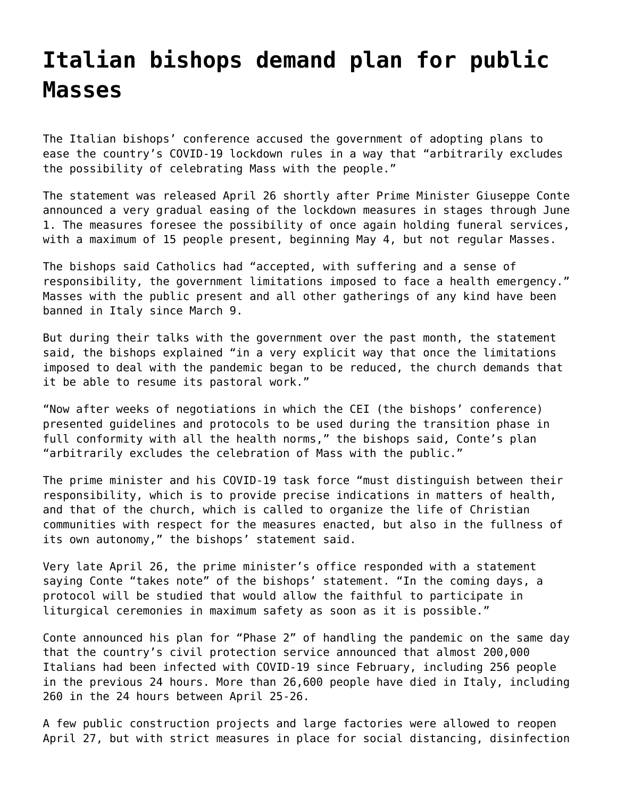## **[Italian bishops demand plan for public](https://grandinmedia.ca/italian-bishops-demand-plan-for-public-masses/) [Masses](https://grandinmedia.ca/italian-bishops-demand-plan-for-public-masses/)**

The Italian bishops' conference accused the government of adopting plans to ease the country's COVID-19 lockdown rules in a way that "arbitrarily excludes the possibility of celebrating Mass with the people."

The statement was released April 26 shortly after Prime Minister Giuseppe Conte announced a very gradual easing of the lockdown measures in stages through June 1. The measures foresee the possibility of once again holding funeral services, with a maximum of 15 people present, beginning May 4, but not regular Masses.

The bishops said Catholics had "accepted, with suffering and a sense of responsibility, the government limitations imposed to face a health emergency." Masses with the public present and all other gatherings of any kind have been banned in Italy since March 9.

But during their talks with the government over the past month, the statement said, the bishops explained "in a very explicit way that once the limitations imposed to deal with the pandemic began to be reduced, the church demands that it be able to resume its pastoral work."

"Now after weeks of negotiations in which the CEI (the bishops' conference) presented guidelines and protocols to be used during the transition phase in full conformity with all the health norms," the bishops said, Conte's plan "arbitrarily excludes the celebration of Mass with the public."

The prime minister and his COVID-19 task force "must distinguish between their responsibility, which is to provide precise indications in matters of health, and that of the church, which is called to organize the life of Christian communities with respect for the measures enacted, but also in the fullness of its own autonomy," the bishops' statement said.

Very late April 26, the prime minister's office responded with a statement saying Conte "takes note" of the bishops' statement. "In the coming days, a protocol will be studied that would allow the faithful to participate in liturgical ceremonies in maximum safety as soon as it is possible."

Conte announced his plan for "Phase 2" of handling the pandemic on the same day that the country's civil protection service announced that almost 200,000 Italians had been infected with COVID-19 since February, including 256 people in the previous 24 hours. More than 26,600 people have died in Italy, including 260 in the 24 hours between April 25-26.

A few public construction projects and large factories were allowed to reopen April 27, but with strict measures in place for social distancing, disinfection